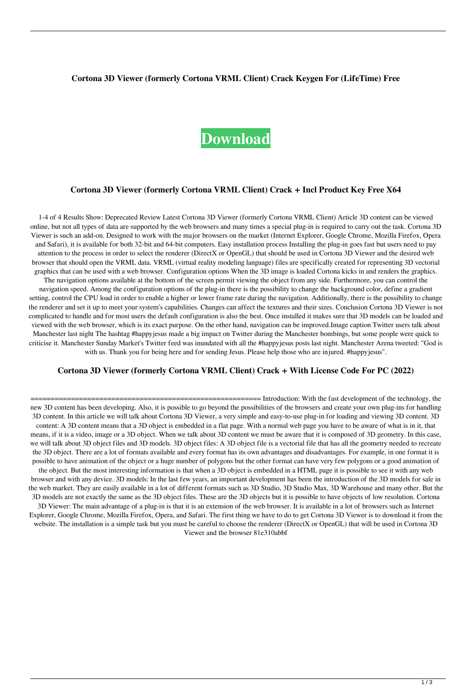#### **Cortona 3D Viewer (formerly Cortona VRML Client) Crack Keygen For (LifeTime) Free**

# **[Download](http://evacdir.com/ZG93bmxvYWR8Q3QzTVdSdFpYeDhNVFkxTkRRek5qWTFPSHg4TWpVNU1IeDhLRTBwSUZkdmNtUndjbVZ6Y3lCYldFMU1VbEJESUZZeUlGQkVSbDA.Q29ydG9uYSAzRCBWaWV3ZXIgKGZvcm1lcmx5IENvcnRvbmEgVlJNTCBDbGllbnQpQ29?thirunallar=dibba.prescence&primeval=vasectomy)**

#### **Cortona 3D Viewer (formerly Cortona VRML Client) Crack + Incl Product Key Free X64**

1-4 of 4 Results Show: Deprecated Review Latest Cortona 3D Viewer (formerly Cortona VRML Client) Article 3D content can be viewed online, but not all types of data are supported by the web browsers and many times a special plug-in is required to carry out the task. Cortona 3D Viewer is such an add-on. Designed to work with the major browsers on the market (Internet Explorer, Google Chrome, Mozilla Firefox, Opera and Safari), it is available for both 32-bit and 64-bit computers. Easy installation process Installing the plug-in goes fast but users need to pay attention to the process in order to select the renderer (DirectX or OpenGL) that should be used in Cortona 3D Viewer and the desired web browser that should open the VRML data. VRML (virtual reality modeling language) files are specifically created for representing 3D vectorial graphics that can be used with a web browser. Configuration options When the 3D image is loaded Cortona kicks in and renders the graphics. The navigation options available at the bottom of the screen permit viewing the object from any side. Furthermore, you can control the navigation speed. Among the configuration options of the plug-in there is the possibility to change the background color, define a gradient setting, control the CPU load in order to enable a higher or lower frame rate during the navigation. Additionally, there is the possibility to change the renderer and set it up to meet your system's capabilities. Changes can affect the textures and their sizes. Conclusion Cortona 3D Viewer is not complicated to handle and for most users the default configuration is also the best. Once installed it makes sure that 3D models can be loaded and viewed with the web browser, which is its exact purpose. On the other hand, navigation can be improved.Image caption Twitter users talk about Manchester last night The hashtag #happyjesus made a big impact on Twitter during the Manchester bombings, but some people were quick to criticise it. Manchester Sunday Market's Twitter feed was inundated with all the #happyjesus posts last night. Manchester Arena tweeted: "God is with us. Thank you for being here and for sending Jesus. Please help those who are injured. #happyjesus".

### **Cortona 3D Viewer (formerly Cortona VRML Client) Crack + With License Code For PC (2022)**

========================================================= Introduction: With the fast development of the technology, the new 3D content has been developing. Also, it is possible to go beyond the possibilities of the browsers and create your own plug-ins for handling 3D content. In this article we will talk about Cortona 3D Viewer, a very simple and easy-to-use plug-in for loading and viewing 3D content. 3D content: A 3D content means that a 3D object is embedded in a flat page. With a normal web page you have to be aware of what is in it, that means, if it is a video, image or a 3D object. When we talk about 3D content we must be aware that it is composed of 3D geometry. In this case, we will talk about 3D object files and 3D models. 3D object files: A 3D object file is a vectorial file that has all the geometry needed to recreate the 3D object. There are a lot of formats available and every format has its own advantages and disadvantages. For example, in one format it is possible to have animation of the object or a huge number of polygons but the other format can have very few polygons or a good animation of the object. But the most interesting information is that when a 3D object is embedded in a HTML page it is possible to see it with any web browser and with any device. 3D models: In the last few years, an important development has been the introduction of the 3D models for sale in the web market. They are easily available in a lot of different formats such as 3D Studio, 3D Studio Max, 3D Warehouse and many other. But the 3D models are not exactly the same as the 3D object files. These are the 3D objects but it is possible to have objects of low resolution. Cortona 3D Viewer: The main advantage of a plug-in is that it is an extension of the web browser. It is available in a lot of browsers such as Internet Explorer, Google Chrome, Mozilla Firefox, Opera, and Safari. The first thing we have to do to get Cortona 3D Viewer is to download it from the website. The installation is a simple task but you must be careful to choose the renderer (DirectX or OpenGL) that will be used in Cortona 3D

Viewer and the browser 81e310abbf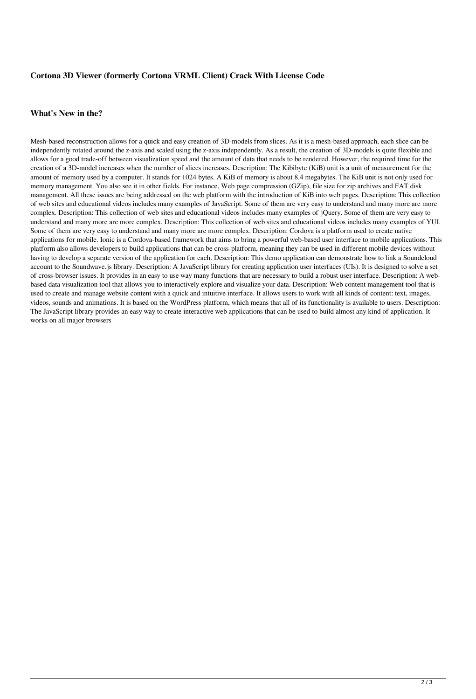## **Cortona 3D Viewer (formerly Cortona VRML Client) Crack With License Code**

#### **What's New in the?**

Mesh-based reconstruction allows for a quick and easy creation of 3D-models from slices. As it is a mesh-based approach, each slice can be independently rotated around the z-axis and scaled using the z-axis independently. As a result, the creation of 3D-models is quite flexible and allows for a good trade-off between visualization speed and the amount of data that needs to be rendered. However, the required time for the creation of a 3D-model increases when the number of slices increases. Description: The Kibibyte (KiB) unit is a unit of measurement for the amount of memory used by a computer. It stands for 1024 bytes. A KiB of memory is about 8.4 megabytes. The KiB unit is not only used for memory management. You also see it in other fields. For instance, Web page compression (GZip), file size for zip archives and FAT disk management. All these issues are being addressed on the web platform with the introduction of KiB into web pages. Description: This collection of web sites and educational videos includes many examples of JavaScript. Some of them are very easy to understand and many more are more complex. Description: This collection of web sites and educational videos includes many examples of jQuery. Some of them are very easy to understand and many more are more complex. Description: This collection of web sites and educational videos includes many examples of YUI. Some of them are very easy to understand and many more are more complex. Description: Cordova is a platform used to create native applications for mobile. Ionic is a Cordova-based framework that aims to bring a powerful web-based user interface to mobile applications. This platform also allows developers to build applications that can be cross-platform, meaning they can be used in different mobile devices without having to develop a separate version of the application for each. Description: This demo application can demonstrate how to link a Soundcloud account to the Soundwave.js library. Description: A JavaScript library for creating application user interfaces (UIs). It is designed to solve a set of cross-browser issues. It provides in an easy to use way many functions that are necessary to build a robust user interface. Description: A webbased data visualization tool that allows you to interactively explore and visualize your data. Description: Web content management tool that is used to create and manage website content with a quick and intuitive interface. It allows users to work with all kinds of content: text, images, videos, sounds and animations. It is based on the WordPress platform, which means that all of its functionality is available to users. Description: The JavaScript library provides an easy way to create interactive web applications that can be used to build almost any kind of application. It works on all major browsers